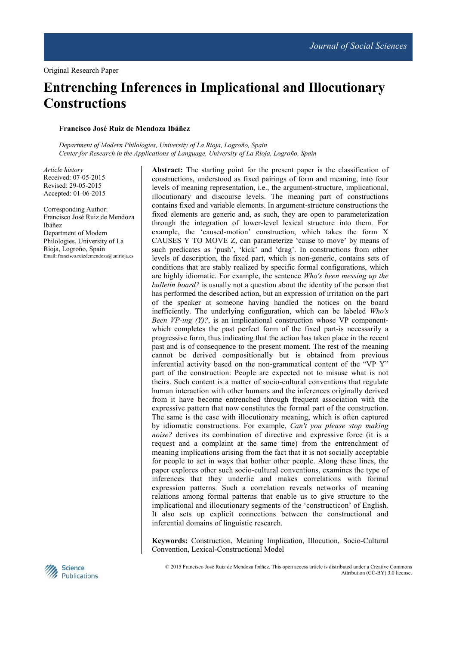Original Research Paper

# **Entrenching Inferences in Implicational and Illocutionary Constructions**

## **Francisco José Ruiz de Mendoza Ibáñez**

*Department of Modern Philologies, University of La Rioja, Logroño, Spain Center for Research in the Applications of Language, University of La Rioja, Logroño, Spain* 

*Article history*  Received: 07-05-2015 Revised: 29-05-2015 Accepted: 01-06-2015

Corresponding Author: Francisco José Ruiz de Mendoza Ibáñez Department of Modern Philologies, University of La Rioja, Logroño, Spain Email: francisco.ruizdemendoza@unirioja.es

**Abstract:** The starting point for the present paper is the classification of constructions, understood as fixed pairings of form and meaning, into four levels of meaning representation, i.e., the argument-structure, implicational, illocutionary and discourse levels. The meaning part of constructions contains fixed and variable elements. In argument-structure constructions the fixed elements are generic and, as such, they are open to parameterization through the integration of lower-level lexical structure into them. For example, the 'caused-motion' construction, which takes the form X CAUSES Y TO MOVE Z, can parameterize 'cause to move' by means of such predicates as 'push', 'kick' and 'drag'. In constructions from other levels of description, the fixed part, which is non-generic, contains sets of conditions that are stably realized by specific formal configurations, which are highly idiomatic. For example, the sentence *Who's been messing up the bulletin board?* is usually not a question about the identity of the person that has performed the described action, but an expression of irritation on the part of the speaker at someone having handled the notices on the board inefficiently. The underlying configuration, which can be labeled *Who's Been VP-ing (Y)?*, is an implicational construction whose VP componentwhich completes the past perfect form of the fixed part-is necessarily a progressive form, thus indicating that the action has taken place in the recent past and is of consequence to the present moment. The rest of the meaning cannot be derived compositionally but is obtained from previous inferential activity based on the non-grammatical content of the "VP Y" part of the construction: People are expected not to misuse what is not theirs. Such content is a matter of socio-cultural conventions that regulate human interaction with other humans and the inferences originally derived from it have become entrenched through frequent association with the expressive pattern that now constitutes the formal part of the construction. The same is the case with illocutionary meaning, which is often captured by idiomatic constructions. For example, *Can't you please stop making noise?* derives its combination of directive and expressive force (it is a request and a complaint at the same time) from the entrenchment of meaning implications arising from the fact that it is not socially acceptable for people to act in ways that bother other people. Along these lines, the paper explores other such socio-cultural conventions, examines the type of inferences that they underlie and makes correlations with formal expression patterns. Such a correlation reveals networks of meaning relations among formal patterns that enable us to give structure to the implicational and illocutionary segments of the 'constructicon' of English. It also sets up explicit connections between the constructional and inferential domains of linguistic research.

**Keywords:** Construction, Meaning Implication, Illocution, Socio-Cultural Convention, Lexical-Constructional Model



© 2015 Francisco José Ruiz de Mendoza Ibáñez. This open access article is distributed under a Creative Commons Attribution (CC-BY) 3.0 license.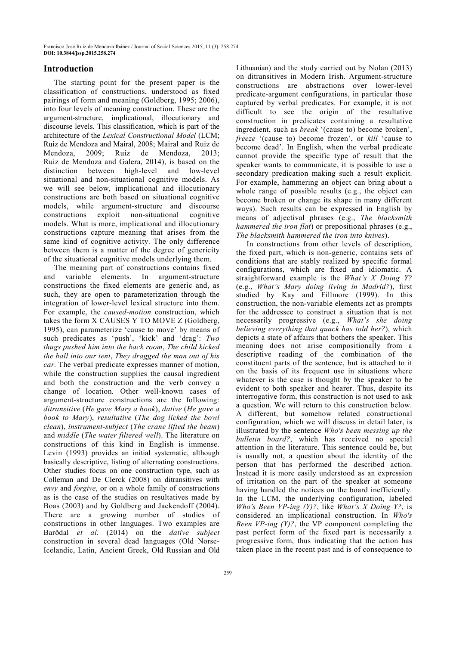# **Introduction**

The starting point for the present paper is the classification of constructions, understood as fixed pairings of form and meaning (Goldberg, 1995; 2006), into four levels of meaning construction. These are the argument-structure, implicational, illocutionary and discourse levels. This classification, which is part of the architecture of the *Lexical Constructional Model* (LCM; Ruiz de Mendoza and Mairal, 2008; Mairal and Ruiz de Mendoza, 2009; Ruiz de Mendoza, 2013; Ruiz de Mendoza and Galera, 2014), is based on the distinction between high-level and low-level situational and non-situational cognitive models. As we will see below, implicational and illocutionary constructions are both based on situational cognitive models, while argument-structure and discourse constructions exploit non-situational cognitive models. What is more, implicational and illocutionary constructions capture meaning that arises from the same kind of cognitive activity. The only difference between them is a matter of the degree of genericity of the situational cognitive models underlying them.

The meaning part of constructions contains fixed and variable elements. In argument-structure constructions the fixed elements are generic and, as such, they are open to parameterization through the integration of lower-level lexical structure into them. For example, the *caused-motion* construction, which takes the form X CAUSES Y TO MOVE Z (Goldberg, 1995), can parameterize 'cause to move' by means of such predicates as 'push', 'kick' and 'drag': *Two thugs pushed him into the back room*, *The child kicked the ball into our tent*, *They dragged the man out of his car.* The verbal predicate expresses manner of motion, while the construction supplies the causal ingredient and both the construction and the verb convey a change of location. Other well-known cases of argument-structure constructions are the following: *ditransitive* (*He gave Mary a book*), *dative* (*He gave a book to Mary*), *resultative* (*The dog licked the bowl clean*), *instrument-subject* (*The crane lifted the beam*) and *middle* (*The water filtered well*). The literature on constructions of this kind in English is immense. Levin (1993) provides an initial systematic, although basically descriptive, listing of alternating constructions. Other studies focus on one construction type, such as Colleman and De Clerck (2008) on ditransitives with *envy* and *forgive*, or on a whole family of constructions as is the case of the studies on resultatives made by Boas (2003) and by Goldberg and Jackendoff (2004). There are a growing number of studies of constructions in other languages. Two examples are Barðdal *et al*. (2014) on the *dative subject* construction in several dead languages (Old Norse-Icelandic, Latin, Ancient Greek, Old Russian and Old

Lithuanian) and the study carried out by Nolan (2013) on ditransitives in Modern Irish. Argument-structure constructions are abstractions over lower-level predicate-argument configurations, in particular those captured by verbal predicates. For example, it is not difficult to see the origin of the resultative construction in predicates containing a resultative ingredient, such as *break* '(cause to) become broken', *freeze* '(cause to) become frozen', or *kill* 'cause to become dead'. In English, when the verbal predicate cannot provide the specific type of result that the speaker wants to communicate, it is possible to use a secondary predication making such a result explicit. For example, hammering an object can bring about a whole range of possible results (e.g., the object can become broken or change its shape in many different ways). Such results can be expressed in English by means of adjectival phrases (e.g., *The blacksmith hammered the iron flat*) or prepositional phrases (e.g., *The blacksmith hammered the iron into knives*).

In constructions from other levels of description, the fixed part, which is non-generic, contains sets of conditions that are stably realized by specific formal configurations, which are fixed and idiomatic. A straightforward example is the *What's X Doing Y?*  (e.g., *What's Mary doing living in Madrid?*), first studied by Kay and Fillmore (1999). In this construction, the non-variable elements act as prompts for the addressee to construct a situation that is not necessarily progressive (e.g., *What's she doing believing everything that quack has told her?*), which depicts a state of affairs that bothers the speaker. This meaning does not arise compositionally from a descriptive reading of the combination of the constituent parts of the sentence, but is attached to it on the basis of its frequent use in situations where whatever is the case is thought by the speaker to be evident to both speaker and hearer. Thus, despite its interrogative form, this construction is not used to ask a question. We will return to this construction below. A different, but somehow related constructional configuration, which we will discuss in detail later, is illustrated by the sentence *Who's been messing up the bulletin board?*, which has received no special attention in the literature. This sentence could be, but is usually not, a question about the identity of the person that has performed the described action. Instead it is more easily understood as an expression of irritation on the part of the speaker at someone having handled the notices on the board inefficiently. In the LCM, the underlying configuration, labeled *Who's Been VP-ing (Y)?*, like *What's X Doing Y?*, is considered an implicational construction. In *Who's Been VP-ing (Y)?*, the VP component completing the past perfect form of the fixed part is necessarily a progressive form, thus indicating that the action has taken place in the recent past and is of consequence to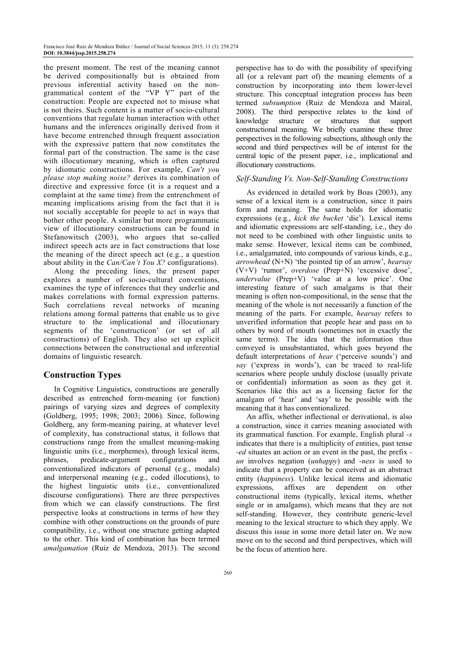the present moment. The rest of the meaning cannot be derived compositionally but is obtained from previous inferential activity based on the nongrammatical content of the "VP Y" part of the construction: People are expected not to misuse what is not theirs. Such content is a matter of socio-cultural conventions that regulate human interaction with other humans and the inferences originally derived from it have become entrenched through frequent association with the expressive pattern that now constitutes the formal part of the construction. The same is the case with illocutionary meaning, which is often captured by idiomatic constructions. For example, *Can't you please stop making noise?* derives its combination of directive and expressive force (it is a request and a complaint at the same time) from the entrenchment of meaning implications arising from the fact that it is not socially acceptable for people to act in ways that bother other people. A similar but more programmatic view of illocutionary constructions can be found in Stefanowitsch (2003), who argues that so-called indirect speech acts are in fact constructions that lose the meaning of the direct speech act (e.g., a question about ability in the *Can/Can't You X?* configurations).

Along the preceding lines, the present paper explores a number of socio-cultural conventions, examines the type of inferences that they underlie and makes correlations with formal expression patterns. Such correlations reveal networks of meaning relations among formal patterns that enable us to give structure to the implicational and illocutionary segments of the 'constructicon' (or set of all constructions) of English. They also set up explicit connections between the constructional and inferential domains of linguistic research.

# **Construction Types**

In Cognitive Linguistics, constructions are generally described as entrenched form-meaning (or function) pairings of varying sizes and degrees of complexity (Goldberg, 1995; 1998; 2003; 2006). Since, following Goldberg, any form-meaning pairing, at whatever level of complexity, has constructional status, it follows that constructions range from the smallest meaning-making linguistic units (i.e., morphemes), through lexical items, phrases, predicate-argument configurations and conventionalized indicators of personal (e.g., modals) and interpersonal meaning (e.g., coded illocutions), to the highest linguistic units (i.e., conventionalized discourse configurations). There are three perspectives from which we can classify constructions. The first perspective looks at constructions in terms of how they combine with other constructions on the grounds of pure compatibility, i.e., without one structure getting adapted to the other. This kind of combination has been termed *amalgamation* (Ruiz de Mendoza, 2013). The second

perspective has to do with the possibility of specifying all (or a relevant part of) the meaning elements of a construction by incorporating into them lower-level structure. This conceptual integration process has been termed *subsumption* (Ruiz de Mendoza and Mairal, 2008). The third perspective relates to the kind of knowledge structure or structures that support constructional meaning. We briefly examine these three perspectives in the following subsections, although only the second and third perspectives will be of interest for the central topic of the present paper, i.e., implicational and illocutionary constructions.

## *Self-Standing Vs. Non-Self-Standing Constructions*

As evidenced in detailed work by Boas (2003), any sense of a lexical item is a construction, since it pairs form and meaning. The same holds for idiomatic expressions (e.g., *kick the bucket* 'die'). Lexical items and idiomatic expressions are self-standing, i.e., they do not need to be combined with other linguistic units to make sense. However, lexical items can be combined, i.e., amalgamated, into compounds of various kinds, e.g., *arrowhead* (N+N) 'the pointed tip of an arrow', *hearsay* (V+V) 'rumor', *overdose* (Prep+N) 'excessive dose', *undervalue* (Prep+V) 'value at a low price'. One interesting feature of such amalgams is that their meaning is often non-compositional, in the sense that the meaning of the whole is not necessarily a function of the meaning of the parts. For example, *hearsay* refers to unverified information that people hear and pass on to others by word of mouth (sometimes not in exactly the same terms). The idea that the information thus conveyed is unsubstantiated, which goes beyond the default interpretations of *hear* ('perceive sounds') and *say* ('express in words'), can be traced to real-life scenarios where people unduly disclose (usually private or confidential) information as soon as they get it. Scenarios like this act as a licensing factor for the amalgam of 'hear' and 'say' to be possible with the meaning that it has conventionalized.

An affix, whether inflectional or derivational, is also a construction, since it carries meaning associated with its grammatical function. For example, English plural *-s* indicates that there is a multiplicity of entities, past tense *-ed* situates an action or an event in the past, the prefix  *un* involves negation (*unhappy*) and *-ness* is used to indicate that a property can be conceived as an abstract entity (*happiness*). Unlike lexical items and idiomatic expressions, affixes are dependent on other constructional items (typically, lexical items, whether single or in amalgams), which means that they are not self-standing. However, they contribute generic-level meaning to the lexical structure to which they apply. We discuss this issue in some more detail later on. We now move on to the second and third perspectives, which will be the focus of attention here.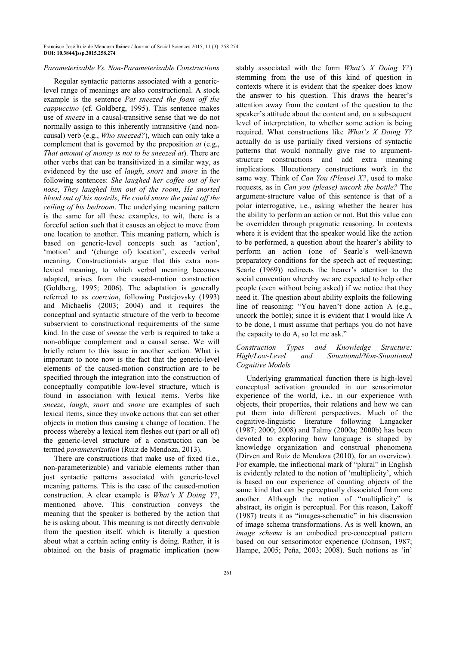#### *Parameterizable Vs. Non-Parameterizable Constructions*

Regular syntactic patterns associated with a genericlevel range of meanings are also constructional. A stock example is the sentence *Pat sneezed the foam off the cappuccino* (cf. Goldberg, 1995). This sentence makes use of *sneeze* in a causal-transitive sense that we do not normally assign to this inherently intransitive (and noncausal) verb (e.g., *Who sneezed?*), which can only take a complement that is governed by the preposition *at* (e.g., *That amount of money is not to be sneezed at*). There are other verbs that can be transitivized in a similar way, as evidenced by the use of *laugh*, *snort* and *snore* in the following sentences: *She laughed her coffee out of her nose*, *They laughed him out of the room*, *He snorted blood out of his nostrils*, *He could snore the paint off the ceiling of his bedroom*. The underlying meaning pattern is the same for all these examples, to wit, there is a forceful action such that it causes an object to move from one location to another. This meaning pattern, which is based on generic-level concepts such as 'action', 'motion' and '(change of) location', exceeds verbal meaning. Constructionists argue that this extra nonlexical meaning, to which verbal meaning becomes adapted, arises from the caused-motion construction (Goldberg, 1995; 2006). The adaptation is generally referred to as *coercion*, following Pustejovsky (1993) and Michaelis (2003; 2004) and it requires the conceptual and syntactic structure of the verb to become subservient to constructional requirements of the same kind. In the case of *sneeze* the verb is required to take a non-oblique complement and a causal sense. We will briefly return to this issue in another section. What is important to note now is the fact that the generic-level elements of the caused-motion construction are to be specified through the integration into the construction of conceptually compatible low-level structure, which is found in association with lexical items. Verbs like *sneeze*, *laugh*, *snort* and *snore* are examples of such lexical items, since they invoke actions that can set other objects in motion thus causing a change of location. The process whereby a lexical item fleshes out (part or all of) the generic-level structure of a construction can be termed *parameterization* (Ruiz de Mendoza, 2013).

There are constructions that make use of fixed (i.e., non-parameterizable) and variable elements rather than just syntactic patterns associated with generic-level meaning patterns. This is the case of the caused-motion construction. A clear example is *What's X Doing Y?*, mentioned above. This construction conveys the meaning that the speaker is bothered by the action that he is asking about. This meaning is not directly derivable from the question itself, which is literally a question about what a certain acting entity is doing. Rather, it is obtained on the basis of pragmatic implication (now

stably associated with the form *What's X Doing Y?*) stemming from the use of this kind of question in contexts where it is evident that the speaker does know the answer to his question. This draws the hearer's attention away from the content of the question to the speaker's attitude about the content and, on a subsequent level of interpretation, to whether some action is being required. What constructions like *What's X Doing Y?* actually do is use partially fixed versions of syntactic patterns that would normally give rise to argumentstructure constructions and add extra meaning implications. Illocutionary constructions work in the same way. Think of *Can You (Please) X?*, used to make requests, as in *Can you (please) uncork the bottle?* The argument-structure value of this sentence is that of a polar interrogative, i.e., asking whether the hearer has the ability to perform an action or not. But this value can be overridden through pragmatic reasoning. In contexts where it is evident that the speaker would like the action to be performed, a question about the hearer's ability to perform an action (one of Searle's well-known preparatory conditions for the speech act of requesting; Searle (1969)) redirects the hearer's attention to the social convention whereby we are expected to help other people (even without being asked) if we notice that they need it. The question about ability exploits the following line of reasoning: "You haven't done action A (e.g., uncork the bottle); since it is evident that I would like A to be done, I must assume that perhaps you do not have the capacity to do A, so let me ask."

# *Construction Types and Knowledge Structure: High/Low-Level and Situational/Non-Situational Cognitive Models*

Underlying grammatical function there is high-level conceptual activation grounded in our sensorimotor experience of the world, i.e., in our experience with objects, their properties, their relations and how we can put them into different perspectives. Much of the cognitive-linguistic literature following Langacker (1987; 2000; 2008) and Talmy (2000a; 2000b) has been devoted to exploring how language is shaped by knowledge organization and construal phenomena (Dirven and Ruiz de Mendoza (2010), for an overview). For example, the inflectional mark of "plural" in English is evidently related to the notion of 'multiplicity', which is based on our experience of counting objects of the same kind that can be perceptually dissociated from one another. Although the notion of "multiplicity" is abstract, its origin is perceptual. For this reason, Lakoff (1987) treats it as "images-schematic" in his discussion of image schema transformations. As is well known, an *image schema* is an embodied pre-conceptual pattern based on our sensorimotor experience (Johnson, 1987; Hampe, 2005; Peña, 2003; 2008). Such notions as 'in'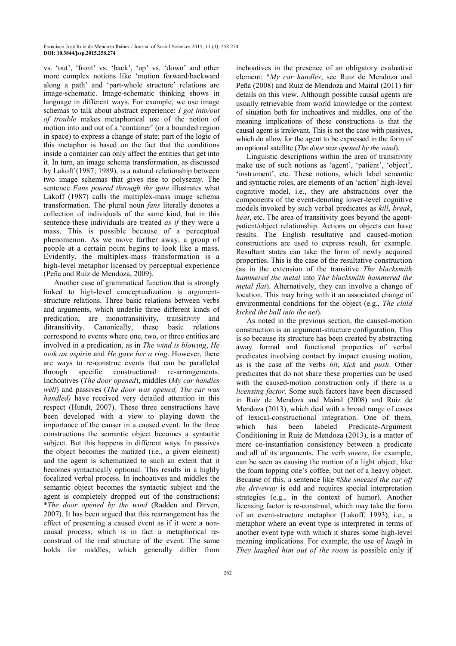vs. 'out', 'front' vs. 'back', 'up' vs. 'down' and other more complex notions like 'motion forward/backward along a path' and 'part-whole structure' relations are image-schematic. Image-schematic thinking shows in language in different ways. For example, we use image schemas to talk about abstract experience: *I got into/out of trouble* makes metaphorical use of the notion of motion into and out of a 'container' (or a bounded region in space) to express a change of state; part of the logic of this metaphor is based on the fact that the conditions inside a container can only affect the entities that get into it. In turn, an image schema transformation, as discussed by Lakoff (1987; 1989), is a natural relationship between two image schemas that gives rise to polysemy. The sentence *Fans poured through the gate* illustrates what Lakoff (1987) calls the multiplex-mass image schema transformation. The plural noun *fans* literally denotes a collection of individuals of the same kind, but in this sentence these individuals are treated *as if* they were a mass. This is possible because of a perceptual phenomenon. As we move farther away, a group of people at a certain point begins to look like a mass. Evidently, the multiplex-mass transformation is a high-level metaphor licensed by perceptual experience (Peña and Ruiz de Mendoza, 2009).

Another case of grammatical function that is strongly linked to high-level conceptualization is argumentstructure relations. Three basic relations between verbs and arguments, which underlie three different kinds of predication, are monotransitivity, transitivity and ditransitivity. Canonically, these basic relations correspond to events where one, two, or three entities are involved in a predication, as in *The wind is blowing*, *He took an aspirin* and *He gave her a ring*. However, there are ways to re-construe events that can be paralleled through specific constructional re-arrangements. Inchoatives (*The door opened*), middles (*My car handles well*) and passives (*The door was opened, The car was handled)* have received very detailed attention in this respect (Hundt, 2007). These three constructions have been developed with a view to playing down the importance of the causer in a caused event. In the three constructions the semantic object becomes a syntactic subject. But this happens in different ways. In passives the object becomes the matized (i.e., a given element) and the agent is schematized to such an extent that it becomes syntactically optional. This results in a highly focalized verbal process. In inchoatives and middles the semantic object becomes the syntactic subject and the agent is completely dropped out of the constructions: \**The door opened by the wind* (Radden and Dirven, 2007). It has been argued that this rearrangement has the effect of presenting a caused event as if it were a noncausal process, which is in fact a metaphorical reconstrual of the real structure of the event. The same holds for middles, which generally differ from

inchoatives in the presence of an obligatory evaluative element: \**My car handles*; see Ruiz de Mendoza and Peña (2008) and Ruiz de Mendoza and Mairal (2011) for details on this view. Although possible causal agents are usually retrievable from world knowledge or the context of situation both for inchoatives and middles, one of the meaning implications of these constructions is that the causal agent is irrelevant. This is not the case with passives, which do allow for the agent to be expressed in the form of an optional satellite (*The door was opened by the wind*).

Linguistic descriptions within the area of transitivity make use of such notions as 'agent', 'patient', 'object', 'instrument', etc. These notions, which label semantic and syntactic roles, are elements of an 'action' high-level cognitive model, i.e., they are abstractions over the components of the event-denoting lower-level cognitive models invoked by such verbal predicates as *kill*, *break*, *heat*, etc. The area of transitivity goes beyond the agentpatient/object relationship. Actions on objects can have results. The English resultative and caused-motion constructions are used to express result, for example. Resultant states can take the form of newly acquired properties. This is the case of the resultative construction (as in the extension of the transitive *The blacksmith hammered the metal* into *The blacksmith hammered the metal flat*). Alternatively, they can involve a change of location. This may bring with it an associated change of environmental conditions for the object (e.g., *The child kicked the ball into the net*).

As noted in the previous section, the caused-motion construction is an argument-structure configuration. This is so because its structure has been created by abstracting away formal and functional properties of verbal predicates involving contact by impact causing motion, as is the case of the verbs *hit*, *kick* and *push*. Other predicates that do not share these properties can be used with the caused-motion construction only if there is a *licensing factor*. Some such factors have been discussed in Ruiz de Mendoza and Mairal (2008) and Ruiz de Mendoza (2013), which deal with a broad range of cases of lexical-constructional integration. One of them, which has been labeled Predicate-Argument Conditioning in Ruiz de Mendoza (2013), is a matter of mere co-instantiation consistency between a predicate and all of its arguments. The verb *sneeze*, for example, can be seen as causing the motion of a light object, like the foam topping one's coffee, but not of a heavy object. Because of this, a sentence like #*She sneezed the car off the driveway* is odd and requires special interpretation strategies (e.g., in the context of humor). Another licensing factor is re-construal, which may take the form of an event-structure metaphor (Lakoff, 1993), i.e., a metaphor where an event type is interpreted in terms of another event type with which it shares some high-level meaning implications. For example, the use of *laugh* in *They laughed him out of the room* is possible only if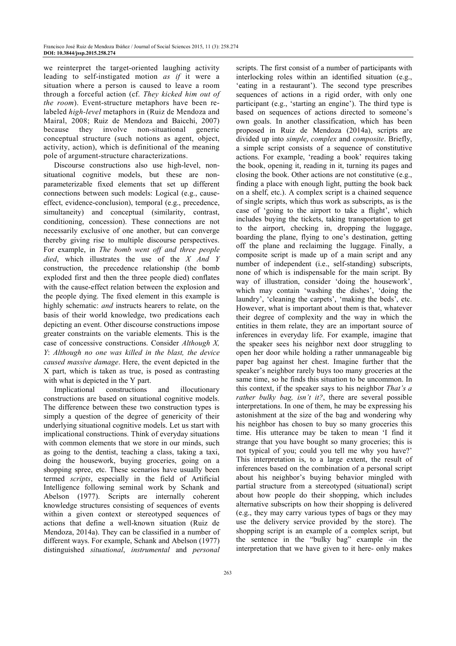we reinterpret the target-oriented laughing activity leading to self-instigated motion *as if* it were a situation where a person is caused to leave a room through a forceful action (cf. *They kicked him out of the room*). Event-structure metaphors have been relabeled *high-level* metaphors in (Ruiz de Mendoza and Mairal, 2008; Ruiz de Mendoza and Baicchi, 2007) because they involve non-situational generic conceptual structure (such notions as agent, object, activity, action), which is definitional of the meaning pole of argument-structure characterizations.

Discourse constructions also use high-level, nonsituational cognitive models, but these are nonparameterizable fixed elements that set up different connections between such models: Logical (e.g., causeeffect, evidence-conclusion), temporal (e.g., precedence, simultaneity) and conceptual (similarity, contrast, conditioning, concession). These connections are not necessarily exclusive of one another, but can converge thereby giving rise to multiple discourse perspectives. For example, in *The bomb went off and three people died*, which illustrates the use of the *X And Y* construction, the precedence relationship (the bomb exploded first and then the three people died) conflates with the cause-effect relation between the explosion and the people dying. The fixed element in this example is highly schematic: *and* instructs hearers to relate, on the basis of their world knowledge, two predications each depicting an event. Other discourse constructions impose greater constraints on the variable elements. This is the case of concessive constructions. Consider *Although X, Y*: *Although no one was killed in the blast, the device caused massive damage*. Here, the event depicted in the X part, which is taken as true, is posed as contrasting with what is depicted in the Y part.

Implicational constructions and illocutionary constructions are based on situational cognitive models. The difference between these two construction types is simply a question of the degree of genericity of their underlying situational cognitive models. Let us start with implicational constructions. Think of everyday situations with common elements that we store in our minds, such as going to the dentist, teaching a class, taking a taxi, doing the housework, buying groceries, going on a shopping spree, etc. These scenarios have usually been termed *scripts*, especially in the field of Artificial Intelligence following seminal work by Schank and Abelson (1977). Scripts are internally coherent knowledge structures consisting of sequences of events within a given context or stereotyped sequences of actions that define a well-known situation (Ruiz de Mendoza, 2014a). They can be classified in a number of different ways. For example, Schank and Abelson (1977) distinguished *situational*, *instrumental* and *personal*

'eating in a restaurant'). The second type prescribes sequences of actions in a rigid order, with only one participant (e.g., 'starting an engine'). The third type is based on sequences of actions directed to someone's own goals. In another classification, which has been proposed in Ruiz de Mendoza (2014a), scripts are divided up into *simple*, *complex* and *composite*. Briefly, a simple script consists of a sequence of constitutive actions. For example, 'reading a book' requires taking the book, opening it, reading in it, turning its pages and closing the book. Other actions are not constitutive (e.g., finding a place with enough light, putting the book back on a shelf, etc.). A complex script is a chained sequence of single scripts, which thus work as subscripts, as is the case of 'going to the airport to take a flight', which includes buying the tickets, taking transportation to get to the airport, checking in, dropping the luggage, boarding the plane, flying to one's destination, getting off the plane and reclaiming the luggage. Finally, a composite script is made up of a main script and any number of independent (i.e., self-standing) subscripts, none of which is indispensable for the main script. By way of illustration, consider 'doing the housework', which may contain 'washing the dishes', 'doing the laundry', 'cleaning the carpets', 'making the beds', etc. However, what is important about them is that, whatever their degree of complexity and the way in which the entities in them relate, they are an important source of inferences in everyday life. For example, imagine that the speaker sees his neighbor next door struggling to open her door while holding a rather unmanageable big paper bag against her chest. Imagine further that the speaker's neighbor rarely buys too many groceries at the same time, so he finds this situation to be uncommon. In this context, if the speaker says to his neighbor *That's a rather bulky bag, isn't it?*, there are several possible interpretations. In one of them, he may be expressing his astonishment at the size of the bag and wondering why his neighbor has chosen to buy so many groceries this time. His utterance may be taken to mean 'I find it strange that you have bought so many groceries; this is not typical of you; could you tell me why you have?' This interpretation is, to a large extent, the result of inferences based on the combination of a personal script about his neighbor's buying behavior mingled with partial structure from a stereotyped (situational) script about how people do their shopping, which includes alternative subscripts on how their shopping is delivered (e.g., they may carry various types of bags or they may use the delivery service provided by the store). The shopping script is an example of a complex script, but the sentence in the "bulky bag" example -in the interpretation that we have given to it here- only makes

scripts. The first consist of a number of participants with interlocking roles within an identified situation (e.g.,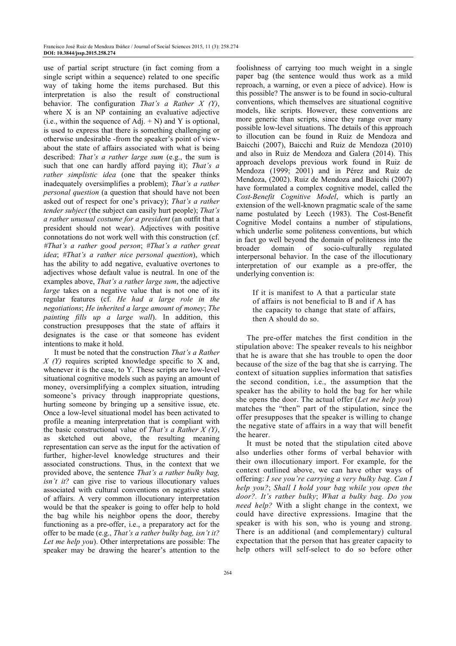use of partial script structure (in fact coming from a single script within a sequence) related to one specific way of taking home the items purchased. But this interpretation is also the result of constructional behavior. The configuration *That's a Rather X (Y)*, where X is an NP containing an evaluative adjective (i.e., within the sequence of Adj.  $+ N$ ) and Y is optional, is used to express that there is something challenging or otherwise undesirable -from the speaker's point of viewabout the state of affairs associated with what is being described: *That's a rather large sum* (e.g., the sum is such that one can hardly afford paying it); *That's a rather simplistic idea* (one that the speaker thinks inadequately oversimplifies a problem); *That's a rather personal question* (a question that should have not been asked out of respect for one's privacy); *That's a rather tender subject* (the subject can easily hurt people); *That's a rather unusual costume for a president* (an outfit that a president should not wear). Adjectives with positive connotations do not work well with this construction (cf. *#That's a rather good person*; *#That's a rather great idea*; *#That's a rather nice personal question*), which has the ability to add negative, evaluative overtones to adjectives whose default value is neutral. In one of the examples above, *That's a rather large sum*, the adjective *large* takes on a negative value that is not one of its regular features (cf. *He had a large role in the negotiations*; *He inherited a large amount of money*; *The painting fills up a large wall*). In addition, this construction presupposes that the state of affairs it designates is the case or that someone has evident intentions to make it hold.

It must be noted that the construction *That's a Rather X (Y)* requires scripted knowledge specific to X and, whenever it is the case, to Y. These scripts are low-level situational cognitive models such as paying an amount of money, oversimplifying a complex situation, intruding someone's privacy through inappropriate questions, hurting someone by bringing up a sensitive issue, etc. Once a low-level situational model has been activated to profile a meaning interpretation that is compliant with the basic constructional value of *That's a Rather X (Y)*, as sketched out above, the resulting meaning representation can serve as the input for the activation of further, higher-level knowledge structures and their associated constructions. Thus, in the context that we provided above, the sentence *That's a rather bulky bag, isn't it?* can give rise to various illocutionary values associated with cultural conventions on negative states of affairs. A very common illocutionary interpretation would be that the speaker is going to offer help to hold the bag while his neighbor opens the door, thereby functioning as a pre-offer, i.e., a preparatory act for the offer to be made (e.g., *That's a rather bulky bag, isn't it? Let me help you*). Other interpretations are possible: The speaker may be drawing the hearer's attention to the

foolishness of carrying too much weight in a single paper bag (the sentence would thus work as a mild reproach, a warning, or even a piece of advice). How is this possible? The answer is to be found in socio-cultural conventions, which themselves are situational cognitive models, like scripts. However, these conventions are more generic than scripts, since they range over many possible low-level situations. The details of this approach to illocution can be found in Ruiz de Mendoza and Baicchi (2007), Baicchi and Ruiz de Mendoza (2010) and also in Ruiz de Mendoza and Galera (2014). This approach develops previous work found in Ruiz de Mendoza (1999; 2001) and in Pérez and Ruiz de Mendoza, (2002). Ruiz de Mendoza and Baicchi (2007) have formulated a complex cognitive model, called the *Cost-Benefit Cognitive Model*, which is partly an extension of the well-known pragmatic scale of the same name postulated by Leech (1983). The Cost-Benefit Cognitive Model contains a number of stipulations, which underlie some politeness conventions, but which in fact go well beyond the domain of politeness into the broader domain of socio-culturally regulated interpersonal behavior. In the case of the illocutionary interpretation of our example as a pre-offer, the underlying convention is:

If it is manifest to A that a particular state of affairs is not beneficial to B and if A has the capacity to change that state of affairs, then A should do so.

The pre-offer matches the first condition in the stipulation above: The speaker reveals to his neighbor that he is aware that she has trouble to open the door because of the size of the bag that she is carrying. The context of situation supplies information that satisfies the second condition, i.e., the assumption that the speaker has the ability to hold the bag for her while she opens the door. The actual offer (*Let me help you*) matches the "then" part of the stipulation, since the offer presupposes that the speaker is willing to change the negative state of affairs in a way that will benefit the hearer.

It must be noted that the stipulation cited above also underlies other forms of verbal behavior with their own illocutionary import. For example, for the context outlined above, we can have other ways of offering: *I see you're carrying a very bulky bag. Can I help you?*; *Shall I hold your bag while you open the door?. It's rather bulky*; *What a bulky bag. Do you need help?* With a slight change in the context, we could have directive expressions. Imagine that the speaker is with his son, who is young and strong. There is an additional (and complementary) cultural expectation that the person that has greater capacity to help others will self-select to do so before other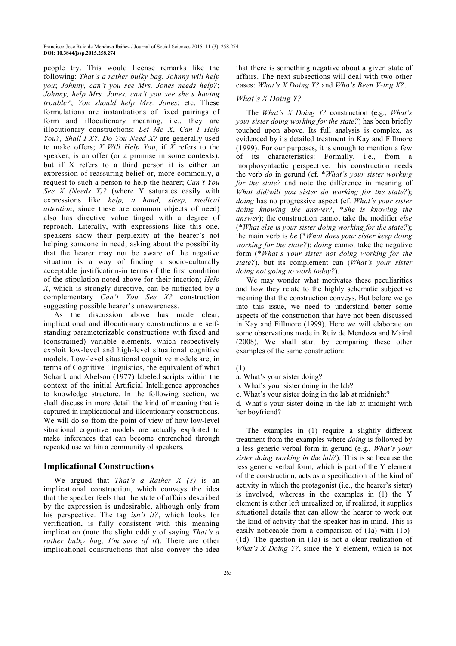people try. This would license remarks like the following: *That's a rather bulky bag. Johnny will help you*; *Johnny, can't you see Mrs. Jones needs help?*; *Johnny, help Mrs. Jones, can't you see she's having trouble?*; *You should help Mrs. Jones*; etc. These formulations are instantiations of fixed pairings of form and illocutionary meaning, i.e., they are illocutionary constructions: *Let Me X*, *Can I Help You?, Shall I X?*, *Do You Need X?* are generally used to make offers; *X Will Help You*, if *X* refers to the speaker, is an offer (or a promise in some contexts), but if X refers to a third person it is either an expression of reassuring belief or, more commonly, a request to such a person to help the hearer; *Can't You See X (Needs Y)?* (where Y saturates easily with expressions like *help, a hand, sleep, medical attention*, since these are common objects of need) also has directive value tinged with a degree of reproach. Literally, with expressions like this one, speakers show their perplexity at the hearer's not helping someone in need; asking about the possibility that the hearer may not be aware of the negative situation is a way of finding a socio-culturally acceptable justification-in terms of the first condition of the stipulation noted above-for their inaction; *Help X*, which is strongly directive, can be mitigated by a complementary *Can't You See X?* construction suggesting possible hearer's unawareness.

As the discussion above has made clear, implicational and illocutionary constructions are selfstanding parameterizable constructions with fixed and (constrained) variable elements, which respectively exploit low-level and high-level situational cognitive models. Low-level situational cognitive models are, in terms of Cognitive Linguistics, the equivalent of what Schank and Abelson (1977) labeled scripts within the context of the initial Artificial Intelligence approaches to knowledge structure. In the following section, we shall discuss in more detail the kind of meaning that is captured in implicational and illocutionary constructions. We will do so from the point of view of how low-level situational cognitive models are actually exploited to make inferences that can become entrenched through repeated use within a community of speakers.

# **Implicational Constructions**

We argued that *That's a Rather X (Y)* is an implicational construction, which conveys the idea that the speaker feels that the state of affairs described by the expression is undesirable, although only from his perspective. The tag *isn't it?*, which looks for verification, is fully consistent with this meaning implication (note the slight oddity of saying *That's a rather bulky bag, I'm sure of it*). There are other implicational constructions that also convey the idea

that there is something negative about a given state of affairs. The next subsections will deal with two other cases: *What's X Doing Y?* and *Who's Been V-ing X?*.

## *What's X Doing Y?*

The *What's X Doing Y?* construction (e.g., *What's your sister doing working for the state?*) has been briefly touched upon above. Its full analysis is complex, as evidenced by its detailed treatment in Kay and Fillmore (1999). For our purposes, it is enough to mention a few of its characteristics: Formally, i.e., from a morphosyntactic perspective, this construction needs the verb *do* in gerund (cf. \**What's your sister working for the state?* and note the difference in meaning of *What did/will you sister do working for the state?*); *doing* has no progressive aspect (cf. *What's your sister doing knowing the answer?*, \**She is knowing the answer*); the construction cannot take the modifier *else* (\**What else is your sister doing working for the state?*); the main verb is *be* (\**What does your sister keep doing working for the state?*); *doing* cannot take the negative form (\**What's your sister not doing working for the state?*), but its complement can (*What's your sister doing not going to work today?*).

We may wonder what motivates these peculiarities and how they relate to the highly schematic subjective meaning that the construction conveys. But before we go into this issue, we need to understand better some aspects of the construction that have not been discussed in Kay and Fillmore (1999). Here we will elaborate on some observations made in Ruiz de Mendoza and Mairal (2008). We shall start by comparing these other examples of the same construction:

(1)

- a. What's your sister doing?
- b. What's your sister doing in the lab?
- c. What's your sister doing in the lab at midnight?

d. What's your sister doing in the lab at midnight with her boyfriend?

The examples in (1) require a slightly different treatment from the examples where *doing* is followed by a less generic verbal form in gerund (e.g., *What's your sister doing working in the lab?*). This is so because the less generic verbal form, which is part of the Y element of the construction, acts as a specification of the kind of activity in which the protagonist (i.e., the hearer's sister) is involved, whereas in the examples in (1) the Y element is either left unrealized or, if realized, it supplies situational details that can allow the hearer to work out the kind of activity that the speaker has in mind. This is easily noticeable from a comparison of (1a) with (1b)- (1d). The question in (1a) is not a clear realization of *What's X Doing Y?*, since the Y element, which is not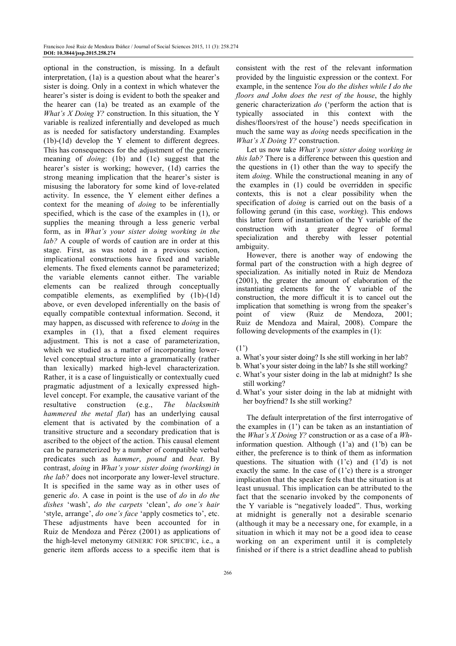optional in the construction, is missing. In a default interpretation, (1a) is a question about what the hearer's sister is doing. Only in a context in which whatever the hearer's sister is doing is evident to both the speaker and the hearer can (1a) be treated as an example of the *What's X Doing Y?* construction. In this situation, the Y variable is realized inferentially and developed as much as is needed for satisfactory understanding. Examples (1b)-(1d) develop the Y element to different degrees. This has consequences for the adjustment of the generic meaning of *doing*: (1b) and (1c) suggest that the hearer's sister is working; however, (1d) carries the strong meaning implication that the hearer's sister is misusing the laboratory for some kind of love-related activity. In essence, the Y element either defines a context for the meaning of *doing* to be inferentially specified, which is the case of the examples in (1), or supplies the meaning through a less generic verbal form, as in *What's your sister doing working in the lab?* A couple of words of caution are in order at this stage. First, as was noted in a previous section, implicational constructions have fixed and variable elements. The fixed elements cannot be parameterized; the variable elements cannot either. The variable elements can be realized through conceptually compatible elements, as exemplified by (1b)-(1d) above, or even developed inferentially on the basis of equally compatible contextual information. Second, it may happen, as discussed with reference to *doing* in the examples in (1), that a fixed element requires adjustment. This is not a case of parameterization, which we studied as a matter of incorporating lowerlevel conceptual structure into a grammatically (rather than lexically) marked high-level characterization. Rather, it is a case of linguistically or contextually cued pragmatic adjustment of a lexically expressed highlevel concept. For example, the causative variant of the resultative construction (e.g., *The blacksmith hammered the metal flat*) has an underlying causal element that is activated by the combination of a transitive structure and a secondary predication that is ascribed to the object of the action. This causal element can be parameterized by a number of compatible verbal predicates such as *hammer*, *pound* and *beat*. By contrast, *doing* in *What's your sister doing (working) in the lab?* does not incorporate any lower-level structure. It is specified in the same way as in other uses of generic *do*. A case in point is the use of *do* in *do the dishes* 'wash', *do the carpets* 'clean', *do one's hair*  'style, arrange', *do one's face* 'apply cosmetics to', etc. These adjustments have been accounted for in Ruiz de Mendoza and Pérez (2001) as applications of the high-level metonymy GENERIC FOR SPECIFIC, i.e., a generic item affords access to a specific item that is

consistent with the rest of the relevant information provided by the linguistic expression or the context. For example, in the sentence *You do the dishes while I do the floors and John does the rest of the house*, the highly generic characterization *do* ('perform the action that is typically associated in this context with the dishes/floors/rest of the house') needs specification in much the same way as *doing* needs specification in the *What's X Doing Y?* construction.

Let us now take *What's your sister doing working in this lab?* There is a difference between this question and the questions in (1) other than the way to specify the item *doing*. While the constructional meaning in any of the examples in (1) could be overridden in specific contexts, this is not a clear possibility when the specification of *doing* is carried out on the basis of a following gerund (in this case, *working*). This endows this latter form of instantiation of the Y variable of the construction with a greater degree of formal specialization and thereby with lesser potential ambiguity.

However, there is another way of endowing the formal part of the construction with a high degree of specialization. As initially noted in Ruiz de Mendoza (2001), the greater the amount of elaboration of the instantiating elements for the Y variable of the construction, the more difficult it is to cancel out the implication that something is wrong from the speaker's point of view (Ruiz de Mendoza, 2001; point of view (Ruiz de Mendoza, 2001; Ruiz de Mendoza and Mairal, 2008). Compare the following developments of the examples in (1):

(1')

- a. What's your sister doing? Is she still working in her lab?
- b. What's your sister doing in the lab? Is she still working?
- c. What's your sister doing in the lab at midnight? Is she still working?
- d. What's your sister doing in the lab at midnight with her boyfriend? Is she still working?

The default interpretation of the first interrogative of the examples in (1') can be taken as an instantiation of the *What's X Doing Y?* construction or as a case of a *Wh*information question. Although (1'a) and (1'b) can be either, the preference is to think of them as information questions. The situation with (1'c) and (1'd) is not exactly the same. In the case of  $(1,c)$  there is a stronger implication that the speaker feels that the situation is at least unusual. This implication can be attributed to the fact that the scenario invoked by the components of the Y variable is "negatively loaded". Thus, working at midnight is generally not a desirable scenario (although it may be a necessary one, for example, in a situation in which it may not be a good idea to cease working on an experiment until it is completely finished or if there is a strict deadline ahead to publish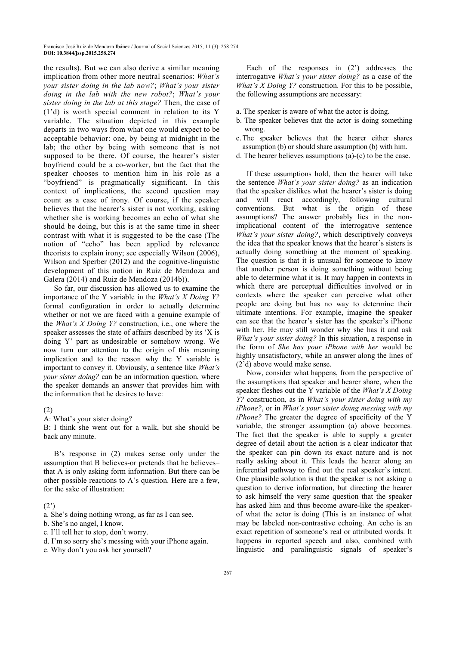the results). But we can also derive a similar meaning implication from other more neutral scenarios: *What's your sister doing in the lab now?*; *What's your sister doing in the lab with the new robot?*; *What's your sister doing in the lab at this stage?* Then, the case of (1'd) is worth special comment in relation to its Y variable. The situation depicted in this example departs in two ways from what one would expect to be acceptable behavior: one, by being at midnight in the lab; the other by being with someone that is not supposed to be there. Of course, the hearer's sister boyfriend could be a co-worker, but the fact that the speaker chooses to mention him in his role as a "boyfriend" is pragmatically significant. In this context of implications, the second question may count as a case of irony. Of course, if the speaker believes that the hearer's sister is not working, asking whether she is working becomes an echo of what she should be doing, but this is at the same time in sheer contrast with what it is suggested to be the case (The notion of "echo" has been applied by relevance theorists to explain irony; see especially Wilson (2006), Wilson and Sperber (2012) and the cognitive-linguistic development of this notion in Ruiz de Mendoza and Galera (2014) and Ruiz de Mendoza (2014b)).

So far, our discussion has allowed us to examine the importance of the Y variable in the *What's X Doing Y?* formal configuration in order to actually determine whether or not we are faced with a genuine example of the *What's X Doing Y?* construction, i.e., one where the speaker assesses the state of affairs described by its 'X is doing Y' part as undesirable or somehow wrong. We now turn our attention to the origin of this meaning implication and to the reason why the Y variable is important to convey it. Obviously, a sentence like *What's your sister doing?* can be an information question, where the speaker demands an answer that provides him with the information that he desires to have:

#### (2)

A: What's your sister doing?

B: I think she went out for a walk, but she should be back any minute.

B's response in (2) makes sense only under the assumption that B believes-or pretends that he believes– that A is only asking form information. But there can be other possible reactions to A's question. Here are a few, for the sake of illustration:

#### $(2')$

- a. She's doing nothing wrong, as far as I can see.
- b. She's no angel, I know.
- c. I'll tell her to stop, don't worry.
- d. I'm so sorry she's messing with your iPhone again.
- e. Why don't you ask her yourself?

Each of the responses in (2') addresses the interrogative *What's your sister doing?* as a case of the *What's X Doing Y?* construction. For this to be possible, the following assumptions are necessary:

- a. The speaker is aware of what the actor is doing.
- b. The speaker believes that the actor is doing something wrong.
- c. The speaker believes that the hearer either shares assumption (b) or should share assumption (b) with him.
- d. The hearer believes assumptions (a)-(c) to be the case.

If these assumptions hold, then the hearer will take the sentence *What's your sister doing?* as an indication that the speaker dislikes what the hearer's sister is doing and will react accordingly, following cultural conventions. But what is the origin of these assumptions? The answer probably lies in the nonimplicational content of the interrogative sentence *What's your sister doing?*, which descriptively conveys the idea that the speaker knows that the hearer's sisters is actually doing something at the moment of speaking. The question is that it is unusual for someone to know that another person is doing something without being able to determine what it is. It may happen in contexts in which there are perceptual difficulties involved or in contexts where the speaker can perceive what other people are doing but has no way to determine their ultimate intentions. For example, imagine the speaker can see that the hearer's sister has the speaker's iPhone with her. He may still wonder why she has it and ask *What's your sister doing?* In this situation, a response in the form of *She has your iPhone with her* would be highly unsatisfactory, while an answer along the lines of (2'd) above would make sense.

Now, consider what happens, from the perspective of the assumptions that speaker and hearer share, when the speaker fleshes out the Y variable of the *What's X Doing Y?* construction, as in *What's your sister doing with my iPhone?*, or in *What's your sister doing messing with my iPhone?* The greater the degree of specificity of the Y variable, the stronger assumption (a) above becomes. The fact that the speaker is able to supply a greater degree of detail about the action is a clear indicator that the speaker can pin down its exact nature and is not really asking about it. This leads the hearer along an inferential pathway to find out the real speaker's intent. One plausible solution is that the speaker is not asking a question to derive information, but directing the hearer to ask himself the very same question that the speaker has asked him and thus become aware-like the speakerof what the actor is doing (This is an instance of what may be labeled non-contrastive echoing. An echo is an exact repetition of someone's real or attributed words. It happens in reported speech and also, combined with linguistic and paralinguistic signals of speaker's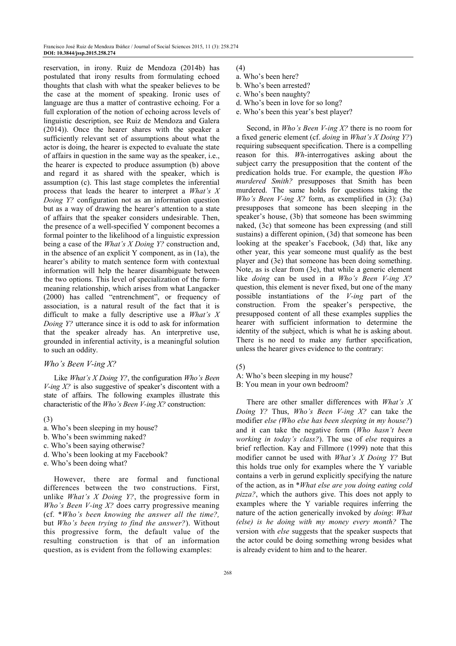reservation, in irony. Ruiz de Mendoza (2014b) has postulated that irony results from formulating echoed thoughts that clash with what the speaker believes to be the case at the moment of speaking. Ironic uses of language are thus a matter of contrastive echoing. For a full exploration of the notion of echoing across levels of linguistic description, see Ruiz de Mendoza and Galera (2014)). Once the hearer shares with the speaker a sufficiently relevant set of assumptions about what the actor is doing, the hearer is expected to evaluate the state of affairs in question in the same way as the speaker, i.e., the hearer is expected to produce assumption (b) above and regard it as shared with the speaker, which is assumption (c). This last stage completes the inferential process that leads the hearer to interpret a *What's X Doing Y?* configuration not as an information question but as a way of drawing the hearer's attention to a state of affairs that the speaker considers undesirable. Then, the presence of a well-specified Y component becomes a formal pointer to the likelihood of a linguistic expression being a case of the *What's X Doing Y?* construction and, in the absence of an explicit Y component, as in (1a), the hearer's ability to match sentence form with contextual information will help the hearer disambiguate between the two options. This level of specialization of the formmeaning relationship, which arises from what Langacker (2000) has called "entrenchment", or frequency of association, is a natural result of the fact that it is difficult to make a fully descriptive use a *What's X Doing Y?* utterance since it is odd to ask for information that the speaker already has. An interpretive use, grounded in inferential activity, is a meaningful solution to such an oddity.

## *Who's Been V-ing X?*

Like *What's X Doing Y?*, the configuration *Who's Been V-ing X?* is also suggestive of speaker's discontent with a state of affairs. The following examples illustrate this characteristic of the *Who's Been V-ing X?* construction:

(3)

- a. Who's been sleeping in my house?
- b. Who's been swimming naked?
- c. Who's been saying otherwise?
- d. Who's been looking at my Facebook?
- e. Who's been doing what?

However, there are formal and functional differences between the two constructions. First, unlike *What's X Doing Y?*, the progressive form in *Who's Been V-ing X?* does carry progressive meaning (cf. \**Who's been knowing the answer all the time?,* but *Who's been trying to find the answer?*). Without this progressive form, the default value of the resulting construction is that of an information question, as is evident from the following examples:

- (4)
- a. Who's been here?
- b. Who's been arrested?
- c. Who's been naughty?
- d. Who's been in love for so long?
- e. Who's been this year's best player?

Second, in *Who's Been V-ing X?* there is no room for a fixed generic element (cf. *doing* in *What's X Doing Y?*) requiring subsequent specification. There is a compelling reason for this. *Wh-*interrogatives asking about the subject carry the presupposition that the content of the predication holds true. For example, the question *Who murdered Smith?* presupposes that Smith has been murdered. The same holds for questions taking the *Who's Been V-ing X?* form, as exemplified in (3): (3a) presupposes that someone has been sleeping in the speaker's house, (3b) that someone has been swimming naked, (3c) that someone has been expressing (and still sustains) a different opinion, (3d) that someone has been looking at the speaker's Facebook, (3d) that, like any other year, this year someone must qualify as the best player and (3e) that someone has been doing something. Note, as is clear from (3e), that while a generic element like *doing* can be used in a *Who's Been V-ing X?* question, this element is never fixed, but one of the many possible instantiations of the *V-ing* part of the construction. From the speaker's perspective, the presupposed content of all these examples supplies the hearer with sufficient information to determine the identity of the subject, which is what he is asking about. There is no need to make any further specification, unless the hearer gives evidence to the contrary:

### (5)

A: Who's been sleeping in my house?

B: You mean in your own bedroom?

There are other smaller differences with *What's X Doing Y?* Thus, *Who's Been V-ing X?* can take the modifier *else (Who else has been sleeping in my house?*) and it can take the negative form (*Who hasn't been working in today's class?*). The use of *else* requires a brief reflection. Kay and Fillmore (1999) note that this modifier cannot be used with *What's X Doing Y?* But this holds true only for examples where the Y variable contains a verb in gerund explicitly specifying the nature of the action, as in \**What else are you doing eating cold pizza?*, which the authors give. This does not apply to examples where the Y variable requires inferring the nature of the action generically invoked by *doing*: *What (else) is he doing with my money every month?* The version with *else* suggests that the speaker suspects that the actor could be doing something wrong besides what is already evident to him and to the hearer.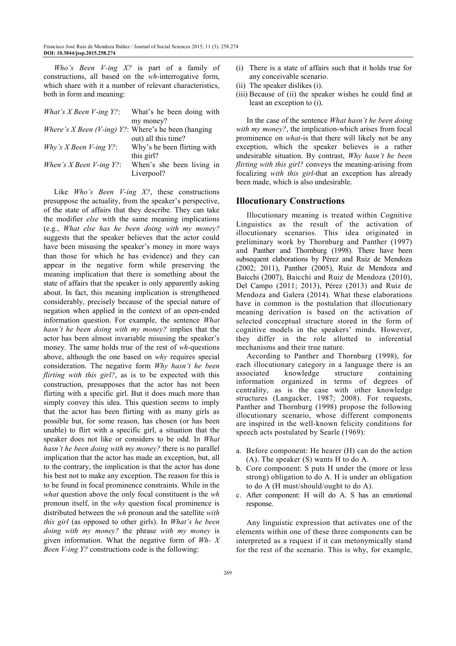*Who's Been V-ing X?* is part of a family of constructions, all based on the *wh*-interrogative form, which share with it a number of relevant characteristics, both in form and meaning:

| What's $X$ Been V-ing $Y$ ?:                                | What's he been doing with   |
|-------------------------------------------------------------|-----------------------------|
|                                                             | my money?                   |
| <i>Where's X Been (V-ing) Y?</i> : Where's he been (hanging |                             |
|                                                             | out) all this time?         |
| Why's X Been V-ing $Y$ ?:                                   | Why's he been flirting with |
|                                                             | this girl?                  |
| When's $X$ Been V-ing $Y$ ?:                                | When's she been living in   |
|                                                             | Liverpool?                  |

Like *Who's Been V-ing X?*, these constructions presuppose the actuality, from the speaker's perspective, of the state of affairs that they describe. They can take the modifier *else* with the same meaning implications (e.g., *What else has he been doing with my money?* suggests that the speaker believes that the actor could have been misusing the speaker's money in more ways than those for which he has evidence) and they can appear in the negative form while preserving the meaning implication that there is something about the state of affairs that the speaker is only apparently asking about. In fact, this meaning implication is strengthened considerably, precisely because of the special nature of negation when applied in the context of an open-ended information question. For example, the sentence *What hasn't he been doing with my money?* implies that the actor has been almost invariable misusing the speaker's money. The same holds true of the rest of *wh*-questions above, although the one based on *why* requires special consideration. The negative form *Why hasn't he been flirting with this girl?*, as is to be expected with this construction, presupposes that the actor has not been flirting with a specific girl. But it does much more than simply convey this idea. This question seems to imply that the actor has been flirting with as many girls as possible but, for some reason, has chosen (or has been unable) to flirt with a specific girl, a situation that the speaker does not like or considers to be odd. In *What hasn't he been doing with my money?* there is no parallel implication that the actor has made an exception, but, all to the contrary, the implication is that the actor has done his best not to make any exception. The reason for this is to be found in focal prominence constraints. While in the *what* question above the only focal constituent is the *wh* pronoun itself, in the *why* question focal prominence is distributed between the *wh* pronoun and the satellite *with this girl* (as opposed to other girls). In *What's he been doing with my money?* the phrase *with my money* is given information. What the negative form of *Wh- X Been V-ing Y?* constructions code is the following:

- (i) There is a state of affairs such that it holds true for any conceivable scenario.
- (ii) The speaker dislikes (i).
- (iii) Because of (ii) the speaker wishes he could find at least an exception to (i).

In the case of the sentence *What hasn't he been doing with my money?*, the implication-which arises from focal prominence on *what*-is that there will likely not be any exception, which the speaker believes is a rather undesirable situation. By contrast, *Why hasn't he been flirting with this girl?* conveys the meaning-arising from focalizing *with this girl*-that an exception has already been made, which is also undesirable.

## **Illocutionary Constructions**

Illocutionary meaning is treated within Cognitive Linguistics as the result of the activation of illocutionary scenarios. This idea originated in preliminary work by Thornburg and Panther (1997) and Panther and Thornburg (1998). There have been subsequent elaborations by Pérez and Ruiz de Mendoza (2002; 2011), Panther (2005), Ruiz de Mendoza and Baicchi (2007), Baicchi and Ruiz de Mendoza (2010), Del Campo (2011; 2013), Pérez (2013) and Ruiz de Mendoza and Galera (2014). What these elaborations have in common is the postulation that illocutionary meaning derivation is based on the activation of selected conceptual structure stored in the form of cognitive models in the speakers' minds. However, they differ in the role allotted to inferential mechanisms and their true nature.

According to Panther and Thornburg (1998), for each illocutionary category in a language there is an associated knowledge structure containing information organized in terms of degrees of centrality, as is the case with other knowledge structures (Langacker, 1987; 2008). For requests, Panther and Thornburg (1998) propose the following illocutionary scenario, whose different components are inspired in the well-known felicity conditions for speech acts postulated by Searle (1969):

- a. Before component: He hearer (H) can do the action (A). The speaker (S) wants H to do A.
- b. Core component: S puts H under the (more or less strong) obligation to do A. H is under an obligation to do A (H must/should/ought to do A).
- c. After component: H will do A. S has an emotional response.

Any linguistic expression that activates one of the elements within one of these three components can be interpreted as a request if it can metonymically stand for the rest of the scenario. This is why, for example,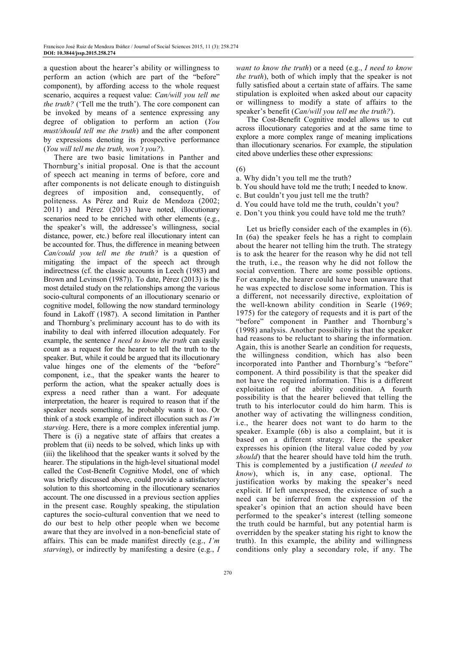a question about the hearer's ability or willingness to perform an action (which are part of the "before" component), by affording access to the whole request scenario, acquires a request value: *Can/will you tell me the truth?* ('Tell me the truth'). The core component can be invoked by means of a sentence expressing any degree of obligation to perform an action (*You must/should tell me the truth*) and the after component by expressions denoting its prospective performance (*You will tell me the truth, won't you?*).

There are two basic limitations in Panther and Thornburg's initial proposal. One is that the account of speech act meaning in terms of before, core and after components is not delicate enough to distinguish degrees of imposition and, consequently, of politeness. As Pérez and Ruiz de Mendoza (2002; 2011) and Pérez (2013) have noted, illocutionary scenarios need to be enriched with other elements (e.g., the speaker's will, the addressee's willingness, social distance, power, etc.) before real illocutionary intent can be accounted for. Thus, the difference in meaning between *Can/could you tell me the truth?* is a question of mitigating the impact of the speech act through indirectness (cf. the classic accounts in Leech (1983) and Brown and Levinson (1987)). To date, Pérez (2013) is the most detailed study on the relationships among the various socio-cultural components of an illocutionary scenario or cognitive model, following the now standard terminology found in Lakoff (1987). A second limitation in Panther and Thornburg's preliminary account has to do with its inability to deal with inferred illocution adequately. For example, the sentence *I need to know the truth* can easily count as a request for the hearer to tell the truth to the speaker. But, while it could be argued that its illocutionary value hinges one of the elements of the "before" component, i.e., that the speaker wants the hearer to perform the action, what the speaker actually does is express a need rather than a want. For adequate interpretation, the hearer is required to reason that if the speaker needs something, he probably wants it too. Or think of a stock example of indirect illocution such as *I'm starving*. Here, there is a more complex inferential jump. There is (i) a negative state of affairs that creates a problem that (ii) needs to be solved, which links up with (iii) the likelihood that the speaker wants it solved by the hearer. The stipulations in the high-level situational model called the Cost-Benefit Cognitive Model, one of which was briefly discussed above, could provide a satisfactory solution to this shortcoming in the illocutionary scenarios account. The one discussed in a previous section applies in the present case. Roughly speaking, the stipulation captures the socio-cultural convention that we need to do our best to help other people when we become aware that they are involved in a non-beneficial state of affairs. This can be made manifest directly (e.g., *I'm starving*), or indirectly by manifesting a desire (e.g., *I* 

270

*want to know the truth*) or a need (e.g., *I need to know the truth*), both of which imply that the speaker is not fully satisfied about a certain state of affairs. The same stipulation is exploited when asked about our capacity or willingness to modify a state of affairs to the speaker's benefit (*Can/will you tell me the truth?*).

The Cost-Benefit Cognitive model allows us to cut across illocutionary categories and at the same time to explore a more complex range of meaning implications than illocutionary scenarios. For example, the stipulation cited above underlies these other expressions:

#### (6)

- a. Why didn't you tell me the truth?
- b. You should have told me the truth; I needed to know.
- c. But couldn't you just tell me the truth?
- d. You could have told me the truth, couldn't you?
- e. Don't you think you could have told me the truth?

Let us briefly consider each of the examples in (6). In (6a) the speaker feels he has a right to complain about the hearer not telling him the truth. The strategy is to ask the hearer for the reason why he did not tell the truth, i.e., the reason why he did not follow the social convention. There are some possible options. For example, the hearer could have been unaware that he was expected to disclose some information. This is a different, not necessarily directive, exploitation of the well-known ability condition in Searle (1969; 1975) for the category of requests and it is part of the "before" component in Panther and Thornburg's (1998) analysis. Another possibility is that the speaker had reasons to be reluctant to sharing the information. Again, this is another Searle an condition for requests, the willingness condition, which has also been incorporated into Panther and Thornburg's "before" component. A third possibility is that the speaker did not have the required information. This is a different exploitation of the ability condition. A fourth possibility is that the hearer believed that telling the truth to his interlocutor could do him harm. This is another way of activating the willingness condition, i.e., the hearer does not want to do harm to the speaker. Example (6b) is also a complaint, but it is based on a different strategy. Here the speaker expresses his opinion (the literal value coded by *you should*) that the hearer should have told him the truth. This is complemented by a justification (*I needed to know*), which is, in any case, optional. The justification works by making the speaker's need explicit. If left unexpressed, the existence of such a need can be inferred from the expression of the speaker's opinion that an action should have been performed to the speaker's interest (telling someone the truth could be harmful, but any potential harm is overridden by the speaker stating his right to know the truth). In this example, the ability and willingness conditions only play a secondary role, if any. The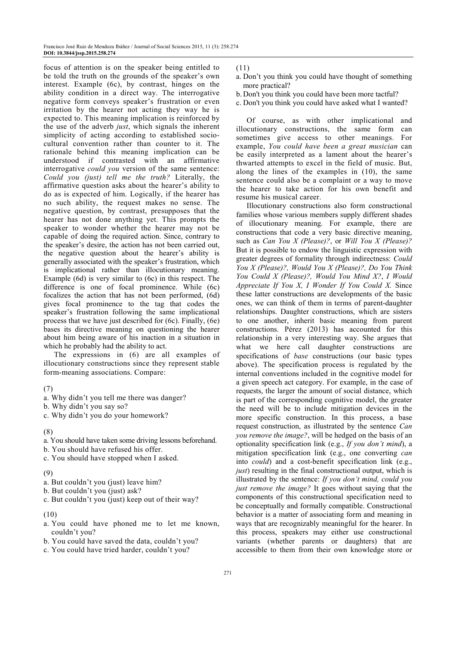focus of attention is on the speaker being entitled to be told the truth on the grounds of the speaker's own interest. Example (6c), by contrast, hinges on the ability condition in a direct way. The interrogative negative form conveys speaker's frustration or even irritation by the hearer not acting they way he is expected to. This meaning implication is reinforced by the use of the adverb *just*, which signals the inherent simplicity of acting according to established sociocultural convention rather than counter to it. The rationale behind this meaning implication can be understood if contrasted with an affirmative interrogative *could you* version of the same sentence: *Could you (just) tell me the truth?* Literally, the affirmative question asks about the hearer's ability to do as is expected of him. Logically, if the hearer has no such ability, the request makes no sense. The negative question, by contrast, presupposes that the hearer has not done anything yet. This prompts the speaker to wonder whether the hearer may not be capable of doing the required action. Since, contrary to the speaker's desire, the action has not been carried out, the negative question about the hearer's ability is generally associated with the speaker's frustration, which is implicational rather than illocutionary meaning. Example (6d) is very similar to (6c) in this respect. The difference is one of focal prominence. While (6c) focalizes the action that has not been performed, (6d) gives focal prominence to the tag that codes the speaker's frustration following the same implicational process that we have just described for (6c). Finally, (6e) bases its directive meaning on questioning the hearer about him being aware of his inaction in a situation in which he probably had the ability to act.

The expressions in (6) are all examples of illocutionary constructions since they represent stable form-meaning associations. Compare:

#### (7)

- a. Why didn't you tell me there was danger?
- b. Why didn't you say so?
- c. Why didn't you do your homework?

#### (8)

- a. You should have taken some driving lessons beforehand.
- b. You should have refused his offer.
- c. You should have stopped when I asked.

## (9)

- a. But couldn't you (just) leave him?
- b. But couldn't you (just) ask?
- c. But couldn't you (just) keep out of their way?

### $(10)$

- a. You could have phoned me to let me known, couldn't you?
- b. You could have saved the data, couldn't you?
- c. You could have tried harder, couldn't you?

#### (11)

- a. Don't you think you could have thought of something more practical?
- b. Don't you think you could have been more tactful?
- c. Don't you think you could have asked what I wanted?

Of course, as with other implicational and illocutionary constructions, the same form can sometimes give access to other meanings. For example, *You could have been a great musician* can be easily interpreted as a lament about the hearer's thwarted attempts to excel in the field of music. But, along the lines of the examples in (10), the same sentence could also be a complaint or a way to move the hearer to take action for his own benefit and resume his musical career.

Illocutionary constructions also form constructional families whose various members supply different shades of illocutionary meaning. For example, there are constructions that code a very basic directive meaning, such as *Can You X (Please)?*, or *Will You X (Please)?* But it is possible to endow the linguistic expression with greater degrees of formality through indirectness: *Could You X (Please)?, Would You X (Please)?, Do You Think You Could X (Please)?, Would You Mind X?*, *I Would Appreciate If You X, I Wonder If You Could X.* Since these latter constructions are developments of the basic ones, we can think of them in terms of parent-daughter relationships. Daughter constructions, which are sisters to one another, inherit basic meaning from parent constructions. Pérez (2013) has accounted for this relationship in a very interesting way. She argues that what we here call daughter constructions are specifications of *base* constructions (our basic types above). The specification process is regulated by the internal conventions included in the cognitive model for a given speech act category. For example, in the case of requests, the larger the amount of social distance, which is part of the corresponding cognitive model, the greater the need will be to include mitigation devices in the more specific construction. In this process, a base request construction, as illustrated by the sentence *Can you remove the image?*, will be hedged on the basis of an optionality specification link (e.g., *If you don't mind*), a mitigation specification link (e.g., one converting *can*  into *could*) and a cost-benefit specification link (e.g., *just*) resulting in the final constructional output, which is illustrated by the sentence: *If you don't mind, could you just remove the image?* It goes without saying that the components of this constructional specification need to be conceptually and formally compatible. Constructional behavior is a matter of associating form and meaning in ways that are recognizably meaningful for the hearer. In this process, speakers may either use constructional variants (whether parents or daughters) that are accessible to them from their own knowledge store or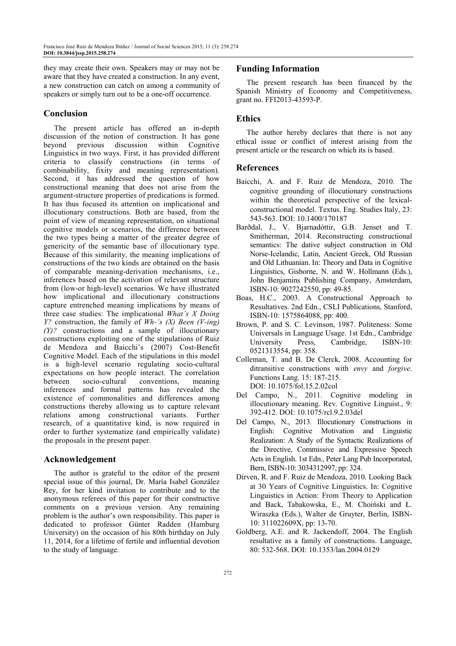they may create their own. Speakers may or may not be aware that they have created a construction. In any event, a new construction can catch on among a community of speakers or simply turn out to be a one-off occurrence.

# **Conclusion**

The present article has offered an in-depth discussion of the notion of construction. It has gone beyond previous discussion within Cognitive Linguistics in two ways. First, it has provided different criteria to classify constructions (in terms of combinability, fixity and meaning representation). Second, it has addressed the question of how constructional meaning that does not arise from the argument-structure properties of predications is formed. It has thus focused its attention on implicational and illocutionary constructions. Both are based, from the point of view of meaning representation, on situational cognitive models or scenarios, the difference between the two types being a matter of the greater degree of genericity of the semantic base of illocutionary type. Because of this similarity, the meaning implications of constructions of the two kinds are obtained on the basis of comparable meaning-derivation mechanisms, i.e., inferences based on the activation of relevant structure from (low-or high-level) scenarios. We have illustrated how implicational and illocutionary constructions capture entrenched meaning implications by means of three case studies: The implicational *What's X Doing Y?* construction, the family of *Wh-'s (X) Been (V-ing) (Y)?* constructions and a sample of illocutionary constructions exploiting one of the stipulations of Ruiz de Mendoza and Baicchi's (2007) Cost-Benefit Cognitive Model. Each of the stipulations in this model is a high-level scenario regulating socio-cultural expectations on how people interact. The correlation between socio-cultural conventions, meaning inferences and formal patterns has revealed the existence of commonalities and differences among constructions thereby allowing us to capture relevant relations among constructional variants. Further research, of a quantitative kind, is now required in order to further systematize (and empirically validate) the proposals in the present paper.

# **Acknowledgement**

The author is grateful to the editor of the present special issue of this journal, Dr. María Isabel González Rey, for her kind invitation to contribute and to the anonymous referees of this paper for their constructive comments on a previous version. Any remaining problem is the author's own responsibility. This paper is dedicated to professor Günter Radden (Hamburg University) on the occasion of his 80th birthday on July 11, 2014, for a lifetime of fertile and influential devotion to the study of language.

# **Funding Information**

The present research has been financed by the Spanish Ministry of Economy and Competitiveness, grant no. FFI2013-43593-P.

# **Ethics**

The author hereby declares that there is not any ethical issue or conflict of interest arising from the present article or the research on which its is based.

# **References**

- Baicchi, A. and F. Ruiz de Mendoza, 2010. The cognitive grounding of illocutionary constructions within the theoretical perspective of the lexicalconstructional model. Textus. Eng. Studies Italy, 23: 543-563. DOI: 10.1400/170187
- Barðdal, J., V. Bjarnadóttir, G.B. Jenset and T. Smitherman, 2014. Reconstructing constructional semantics: The dative subject construction in Old Norse-Icelandic, Latin, Ancient Greek, Old Russian and Old Lithuanian. In: Theory and Data in Cognitive Linguistics, Gisborne, N. and W. Hollmann (Eds.), John Benjamins Publishing Company, Amsterdam, ISBN-10: 9027242550, pp: 49-85.
- Boas, H.C., 2003. A Constructional Approach to Resultatives. 2nd Edn., CSLI Publications, Stanford, ISBN-10: 1575864088, pp: 400.
- Brown, P. and S. C. Levinson, 1987. Politeness: Some Universals in Language Usage. 1st Edn., Cambridge University Press, Cambridge, ISBN-10: 0521313554, pp: 358.
- Colleman, T. and B. De Clerck, 2008. Accounting for ditransitive constructions with *envy* and *forgive*. Functions Lang. 15: 187-215. DOI: 10.1075/fol.15.2.02col
- Del Campo, N., 2011. Cognitive modeling in illocutionary meaning. Rev. Cognitive Linguist., 9: 392-412. DOI: 10.1075/rcl.9.2.03del
- Del Campo, N., 2013*.* Illocutionary Constructions in English: Cognitive Motivation and Linguistic Realization: A Study of the Syntactic Realizations of the Directive, Commissive and Expressive Speech Acts in English. 1st Edn., Peter Lang Pub Incorporated, Bern, ISBN-10: 3034312997, pp: 324.
- Dirven, R. and F. Ruiz de Mendoza, 2010. Looking Back at 30 Years of Cognitive Linguistics. In: Cognitive Linguistics in Action: From Theory to Application and Back, Tabakowska, E., M. Choiński and Ł. Wiraszka (Eds.), Walter de Gruyter, Berlin, ISBN-10: 311022609X, pp: 13-70.
- Goldberg, A.E. and R. Jackendoff, 2004. The English resultative as a family of constructions. Language, 80: 532-568. DOI: 10.1353/lan.2004.0129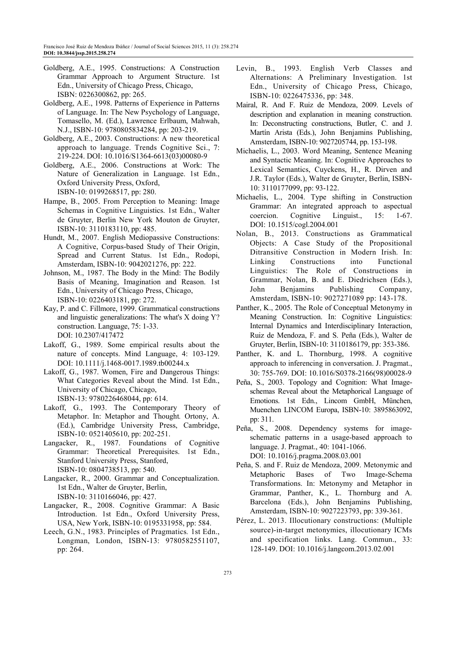- Goldberg, A.E., 1995. Constructions: A Construction Grammar Approach to Argument Structure. 1st Edn., University of Chicago Press, Chicago, ISBN: 0226300862, pp: 265.
- Goldberg, A.E., 1998. Patterns of Experience in Patterns of Language. In: The New Psychology of Language, Tomasello, M. (Ed.), Lawrence Erlbaum, Mahwah, N.J., ISBN-10: 9780805834284, pp: 203-219.
- Goldberg, A.E., 2003. Constructions: A new theoretical approach to language. Trends Cognitive Sci., 7: 219-224. DOI: 10.1016/S1364-6613(03)00080-9
- Goldberg, A.E., 2006. Constructions at Work: The Nature of Generalization in Language. 1st Edn., Oxford University Press, Oxford, ISBN-10: 0199268517, pp: 280.
- Hampe, B., 2005. From Perception to Meaning: Image Schemas in Cognitive Linguistics. 1st Edn., Walter de Gruyter, Berlin New York Mouton de Gruyter, ISBN-10: 3110183110, pp: 485.
- Hundt, M., 2007. English Mediopassive Constructions: A Cognitive, Corpus-based Study of Their Origin, Spread and Current Status. 1st Edn., Rodopi, Amsterdam, ISBN-10: 9042021276, pp: 222.
- Johnson, M., 1987. The Body in the Mind: The Bodily Basis of Meaning, Imagination and Reason. 1st Edn., University of Chicago Press, Chicago, ISBN-10: 0226403181, pp: 272.
- Kay, P. and C. Fillmore, 1999. Grammatical constructions and linguistic generalizations: The what's X doing Y? construction. Language, 75: 1-33. DOI: 10.2307/417472
- Lakoff, G., 1989. Some empirical results about the nature of concepts. Mind Language, 4: 103-129. DOI: 10.1111/j.1468-0017.1989.tb00244.x
- Lakoff, G., 1987. Women, Fire and Dangerous Things: What Categories Reveal about the Mind. 1st Edn., University of Chicago, Chicago, ISBN-13: 9780226468044, pp: 614.
- Lakoff, G., 1993. The Contemporary Theory of Metaphor. In: Metaphor and Thought*.* Ortony, A. (Ed.), Cambridge University Press, Cambridge, ISBN-10: 0521405610, pp: 202-251.
- Langacker, R., 1987. Foundations of Cognitive Grammar: Theoretical Prerequisites. 1st Edn., Stanford University Press, Stanford, ISBN-10: 0804738513, pp: 540.
- Langacker, R., 2000. Grammar and Conceptualization. 1st Edn., Walter de Gruyter, Berlin, ISBN-10: 3110166046, pp: 427.
- Langacker, R., 2008. Cognitive Grammar: A Basic Introduction. 1st Edn., Oxford University Press, USA, New York, ISBN-10: 0195331958, pp: 584.
- Leech, G.N., 1983. Principles of Pragmatics*.* 1st Edn., Longman, London, ISBN-13: 9780582551107, pp: 264.
- Levin, B., 1993. English Verb Classes and Alternations: A Preliminary Investigation. 1st Edn., University of Chicago Press, Chicago, ISBN-10: 0226475336, pp: 348.
- Mairal, R. And F. Ruiz de Mendoza, 2009. Levels of description and explanation in meaning construction. In: Deconstructing constructions, Butler, C. and J. Martín Arista (Eds.), John Benjamins Publishing, Amsterdam, ISBN-10: 9027205744, pp. 153-198.
- Michaelis, L., 2003. Word Meaning, Sentence Meaning and Syntactic Meaning. In: Cognitive Approaches to Lexical Semantics, Cuyckens, H., R. Dirven and J.R. Taylor (Eds.), Walter de Gruyter, Berlin, ISBN-10: 3110177099, pp: 93-122.
- Michaelis, L., 2004. Type shifting in Construction Grammar: An integrated approach to aspectual coercion. Cognitive Linguist., 15: 1-67. DOI: 10.1515/cogl.2004.001
- Nolan, B., 2013. Constructions as Grammatical Objects: A Case Study of the Propositional Ditransitive Construction in Modern Irish. In: Linking Constructions into Functional Linguistics: The Role of Constructions in Grammar, Nolan, B. and E. Diedrichsen (Eds.), John Benjamins Publishing Company, Amsterdam, ISBN-10: 9027271089 pp: 143-178.
- Panther, K., 2005. The Role of Conceptual Metonymy in Meaning Construction. In: Cognitive Linguistics: Internal Dynamics and Interdisciplinary Interaction, Ruiz de Mendoza, F. and S. Peña (Eds.), Walter de Gruyter, Berlin, ISBN-10: 3110186179, pp: 353-386.
- Panther, K. and L. Thornburg, 1998. A cognitive approach to inferencing in conversation. J. Pragmat., 30: 755-769. DOI: 10.1016/S0378-2166(98)00028-9
- Peña, S., 2003. Topology and Cognition: What Imageschemas Reveal about the Metaphorical Language of Emotions. 1st Edn., Lincom GmbH, München, Muenchen LINCOM Europa, ISBN-10: 3895863092, pp: 311.
- Peña, S., 2008. Dependency systems for imageschematic patterns in a usage-based approach to language. J. Pragmat., 40: 1041-1066. DOI: 10.1016/j.pragma.2008.03.001
- Peña, S. and F. Ruiz de Mendoza, 2009. Metonymic and Metaphoric Bases of Two Image-Schema Transformations. In: Metonymy and Metaphor in Grammar, Panther, K., L. Thornburg and A. Barcelona (Eds.), John Benjamins Publishing, Amsterdam, ISBN-10: 9027223793, pp: 339-361.
- Pérez, L. 2013. Illocutionary constructions: (Multiple source)-in-target metonymies, illocutionary ICMs and specification links. Lang. Commun., 33: 128-149. DOI: 10.1016/j.langcom.2013.02.001